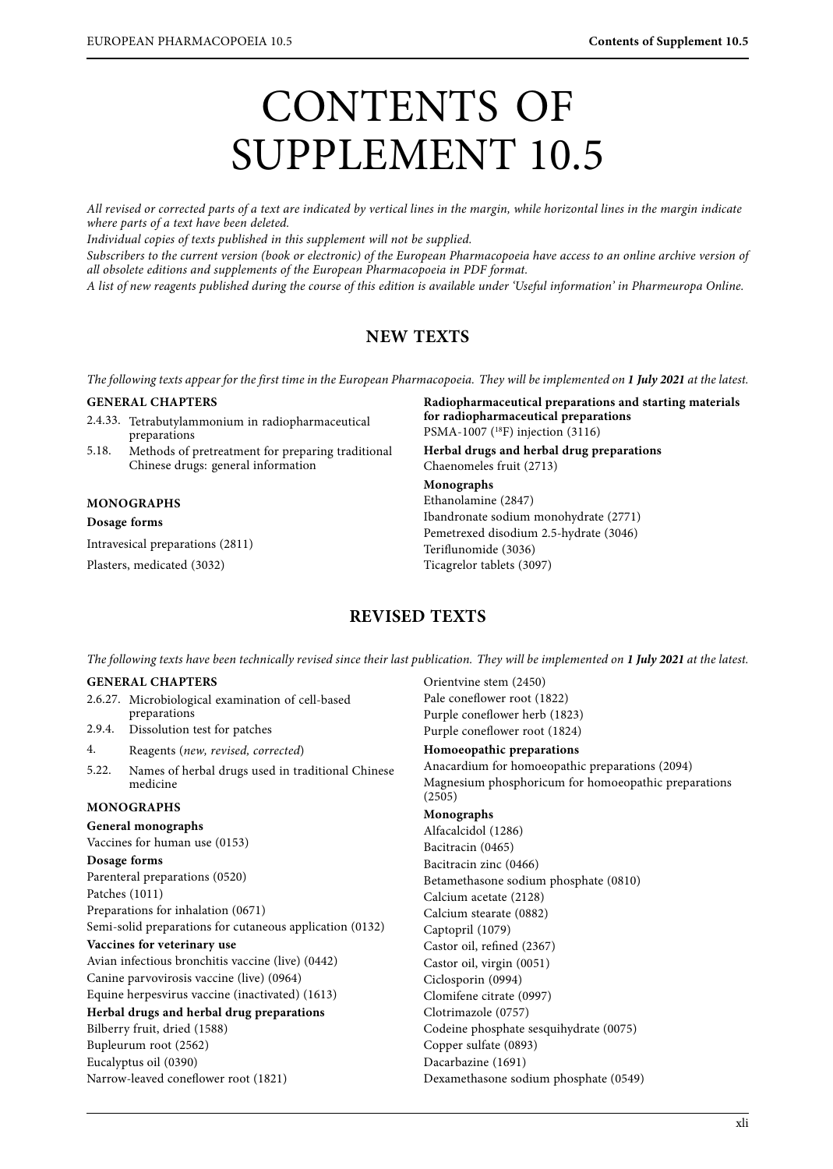# CONTENTS OF SUPPLEMENT 10.5

All revised or corrected parts of a text are indicated by vertical lines in the margin, while horizontal lines in the margin indicate where parts of a text have been deleted.

Individual copies of texts published in this supplement will not be supplied.

Subscribers to the current version (book or electronic) of the European Pharmacopoeia have access to an online archive version of all obsolete editions and supplements of the European Pharmacopoeia in PDF format.

A list of new reagents published during the course of this edition is available under 'Useful information' in Pharmeuropa Online.

## **NEW TEXTS**

The following texts appear for the first time in the European Pharmacopoeia. They will be implemented on **1 July 2021** at the latest.

#### **GENERAL CHAPTERS**

- 2.4.33. Tetrabutylammonium in radiopharmaceutical preparations
- 5.18. Methods of pretreatment for preparing traditional Chinese drugs: general information

#### **MONOGRAPHS**

#### **Dosage forms**

Intravesical preparations (2811)

Plasters, medicated (3032)

**Radiopharmaceutical preparations and starting materials for radiopharmaceutical preparations** PSMA-1007 (18F) injection (3116) **Herbal drugs and herbal drug preparations** Chaenomeles fruit (2713) **Monographs** Ethanolamine (2847) Ibandronate sodium monohydrate (2771)

Pemetrexed disodium 2.5-hydrate (3046) Teriflunomide (3036) Ticagrelor tablets (3097)

## **REVISED TEXTS**

The following texts have been technically revised since their last publication. They will be implemented on **1 July 2021** at the latest.

Orientvine stem (2450)

#### **GENERAL CHAPTERS**

|                                                          | 2.6.27. Microbiological examination of cell-based | Pale coneflower root (1822)                                    |
|----------------------------------------------------------|---------------------------------------------------|----------------------------------------------------------------|
|                                                          | preparations                                      | Purple coneflower herb (1823)                                  |
| 2.9.4.                                                   | Dissolution test for patches                      | Purple coneflower root (1824)                                  |
| 4.                                                       | Reagents (new, revised, corrected)                | Homoeopathic preparations                                      |
| 5.22.                                                    | Names of herbal drugs used in traditional Chinese | Anacardium for homoeopathic preparations (2094)                |
|                                                          | medicine                                          | Magnesium phosphoricum for homoeopathic preparations<br>(2505) |
| <b>MONOGRAPHS</b>                                        |                                                   | Monographs                                                     |
| General monographs                                       |                                                   | Alfacalcidol (1286)                                            |
| Vaccines for human use (0153)                            |                                                   | Bacitracin (0465)                                              |
| Dosage forms                                             |                                                   | Bacitracin zinc (0466)                                         |
| Parenteral preparations (0520)                           |                                                   | Betamethasone sodium phosphate (0810)                          |
| Patches (1011)                                           |                                                   | Calcium acetate (2128)                                         |
| Preparations for inhalation (0671)                       |                                                   | Calcium stearate (0882)                                        |
| Semi-solid preparations for cutaneous application (0132) |                                                   | Captopril (1079)                                               |
| Vaccines for veterinary use                              |                                                   | Castor oil, refined (2367)                                     |
| Avian infectious bronchitis vaccine (live) (0442)        |                                                   | Castor oil, virgin (0051)                                      |
| Canine parvovirosis vaccine (live) (0964)                |                                                   | Ciclosporin (0994)                                             |
| Equine herpesvirus vaccine (inactivated) (1613)          |                                                   | Clomifene citrate (0997)                                       |
| Herbal drugs and herbal drug preparations                |                                                   | Clotrimazole (0757)                                            |
| Bilberry fruit, dried (1588)                             |                                                   | Codeine phosphate sesquihydrate (0075)                         |
| Bupleurum root (2562)                                    |                                                   | Copper sulfate (0893)                                          |
| Eucalyptus oil (0390)                                    |                                                   | Dacarbazine (1691)                                             |
| Narrow-leaved coneflower root (1821)                     |                                                   | Dexamethasone sodium phosphate (0549)                          |
|                                                          |                                                   |                                                                |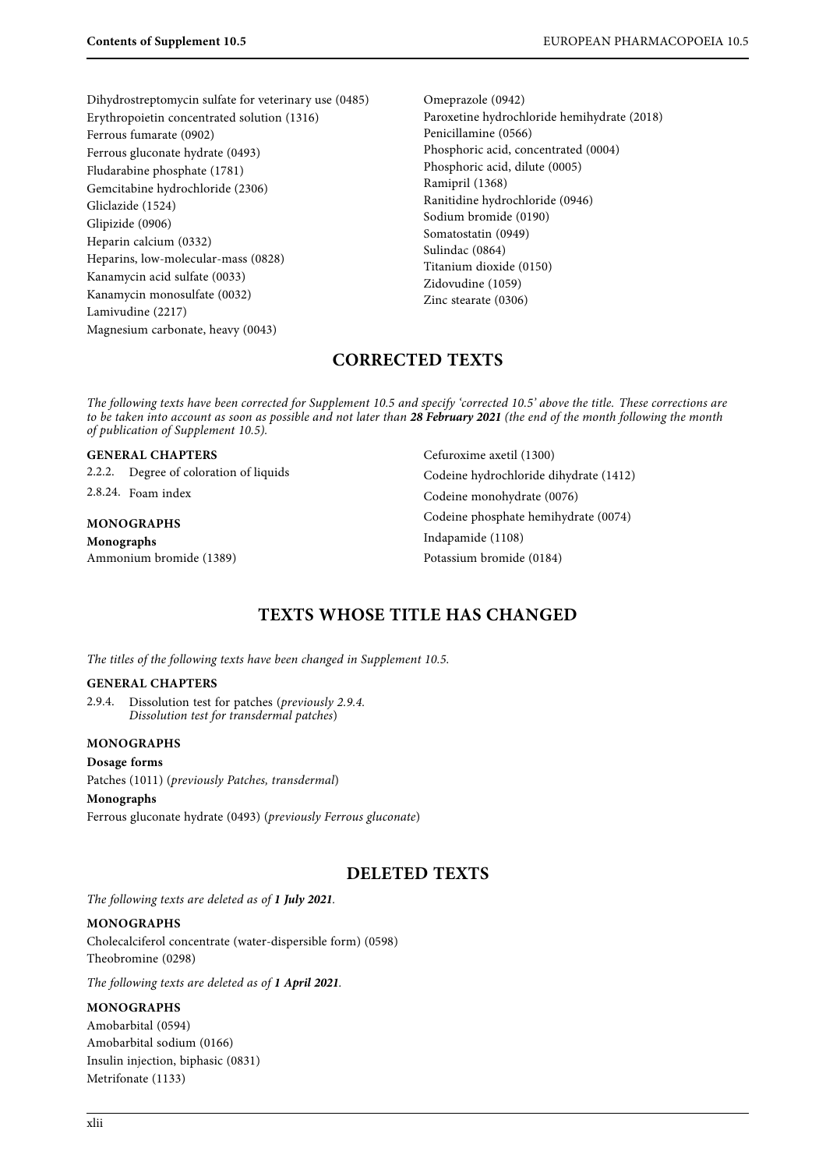Dihydrostreptomycin sulfate for veterinary use (0485) Erythropoietin concentrated solution (1316) Ferrous fumarate (0902) Ferrous gluconate hydrate (0493) Fludarabine phosphate (1781) Gemcitabine hydrochloride (2306) Gliclazide (1524) Glipizide (0906) Heparin calcium (0332) Heparins, low-molecular-mass (0828) Kanamycin acid sulfate (0033) Kanamycin monosulfate (0032) Lamivudine (2217) Magnesium carbonate, heavy (0043)

Omeprazole (0942) Paroxetine hydrochloride hemihydrate (2018) Penicillamine (0566) Phosphoric acid, concentrated (0004) Phosphoric acid, dilute (0005) Ramipril (1368) Ranitidine hydrochloride (0946) Sodium bromide (0190) Somatostatin (0949) Sulindac (0864) Titanium dioxide (0150) Zidovudine (1059) Zinc stearate (0306)

## **CORRECTED TEXTS**

The following texts have been corrected for Supplement 10.5 and specify 'corrected 10.5' above the title. These corrections are to be taken into account as soon as possible and not later than **28 February 2021** (the end of the month following the month of publication of Supplement 10.5).

| <b>GENERAL CHAPTERS</b>                |                                        | Cefuroxime axetil (1300)               |
|----------------------------------------|----------------------------------------|----------------------------------------|
|                                        | 2.2.2. Degree of coloration of liquids | Codeine hydrochloride dihydrate (1412) |
|                                        | 2.8.24. Foam index                     | Codeine monohydrate (0076)             |
| <b>MONOGRAPHS</b><br><b>Monographs</b> |                                        | Codeine phosphate hemihydrate (0074)   |
|                                        |                                        | Indapamide (1108)                      |
| Ammonium bromide (1389)                |                                        | Potassium bromide (0184)               |

# **TEXTS WHOSE TITLE HAS CHANGED**

The titles of the following texts have been changed in Supplement 10.5.

#### **GENERAL CHAPTERS**

2.9.4. Dissolution test for patches (previously 2.9.4. Dissolution test for transdermal patches)

#### **MONOGRAPHS**

#### **Dosage forms**

Patches (1011) (previously Patches, transdermal)

#### **Monographs**

Ferrous gluconate hydrate (0493) (previously Ferrous gluconate)

### **DELETED TEXTS**

The following texts are deleted as of **1 July 2021**.

#### **MONOGRAPHS**

Cholecalciferol concentrate (water-dispersible form) (0598) Theobromine (0298)

The following texts are deleted as of **1 April 2021**.

#### **MONOGRAPHS**

Amobarbital (0594) Amobarbital sodium (0166) Insulin injection, biphasic (0831) Metrifonate (1133)